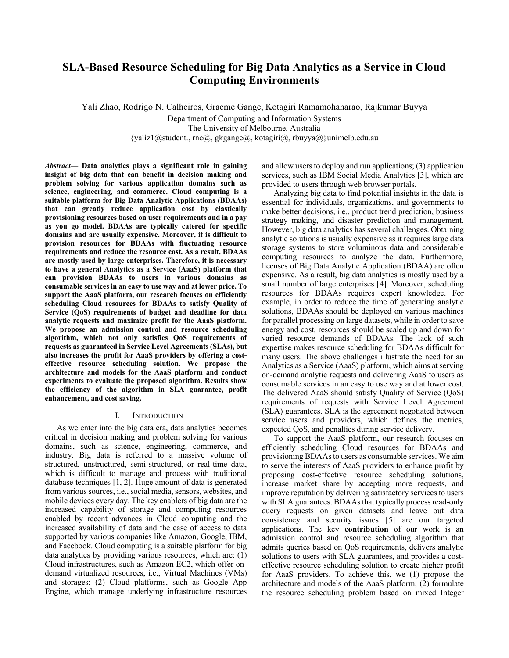# **SLA-Based Resource Scheduling for Big Data Analytics as a Service in Cloud Computing Environments**

Yali Zhao, Rodrigo N. Calheiros, Graeme Gange, Kotagiri Ramamohanarao, Rajkumar Buyya Department of Computing and Information Systems The University of Melbourne, Australia  ${yaliz1}\omega$ student., rnc $\omega$ , gkgange $\omega$ , kotagiri $\omega$ , rbuyya $\omega$ }unimelb.edu.au

*Abstract***— Data analytics plays a significant role in gaining insight of big data that can benefit in decision making and problem solving for various application domains such as science, engineering, and commerce. Cloud computing is a suitable platform for Big Data Analytic Applications (BDAAs) that can greatly reduce application cost by elastically provisioning resources based on user requirements and in a pay as you go model. BDAAs are typically catered for specific domains and are usually expensive. Moreover, it is difficult to provision resources for BDAAs with fluctuating resource requirements and reduce the resource cost. As a result, BDAAs are mostly used by large enterprises. Therefore, it is necessary to have a general Analytics as a Service (AaaS) platform that can provision BDAAs to users in various domains as consumable services in an easy to use way and at lower price. To support the AaaS platform, our research focuses on efficiently scheduling Cloud resources for BDAAs to satisfy Quality of Service (QoS) requirements of budget and deadline for data analytic requests and maximize profit for the AaaS platform. We propose an admission control and resource scheduling algorithm, which not only satisfies QoS requirements of requests as guaranteed in Service Level Agreements (SLAs), but also increases the profit for AaaS providers by offering a costeffective resource scheduling solution. We propose the architecture and models for the AaaS platform and conduct experiments to evaluate the proposed algorithm. Results show the efficiency of the algorithm in SLA guarantee, profit enhancement, and cost saving.** 

# I. INTRODUCTION

As we enter into the big data era, data analytics becomes critical in decision making and problem solving for various domains, such as science, engineering, commerce, and industry. Big data is referred to a massive volume of structured, unstructured, semi-structured, or real-time data, which is difficult to manage and process with traditional database techniques [1, 2]. Huge amount of data is generated from various sources, i.e., social media, sensors, websites, and mobile devices every day. The key enablers of big data are the increased capability of storage and computing resources enabled by recent advances in Cloud computing and the increased availability of data and the ease of access to data supported by various companies like Amazon, Google, IBM, and Facebook. Cloud computing is a suitable platform for big data analytics by providing various resources, which are: (1) Cloud infrastructures, such as Amazon EC2, which offer ondemand virtualized resources, i.e., Virtual Machines (VMs) and storages; (2) Cloud platforms, such as Google App Engine, which manage underlying infrastructure resources

and allow users to deploy and run applications; (3) application services, such as IBM Social Media Analytics [3], which are provided to users through web browser portals.

Analyzing big data to find potential insights in the data is essential for individuals, organizations, and governments to make better decisions, i.e., product trend prediction, business strategy making, and disaster prediction and management. However, big data analytics has several challenges. Obtaining analytic solutions is usually expensive as it requires large data storage systems to store voluminous data and considerable computing resources to analyze the data. Furthermore, licenses of Big Data Analytic Application (BDAA) are often expensive. As a result, big data analytics is mostly used by a small number of large enterprises [4]. Moreover, scheduling resources for BDAAs requires expert knowledge. For example, in order to reduce the time of generating analytic solutions, BDAAs should be deployed on various machines for parallel processing on large datasets, while in order to save energy and cost, resources should be scaled up and down for varied resource demands of BDAAs. The lack of such expertise makes resource scheduling for BDAAs difficult for many users. The above challenges illustrate the need for an Analytics as a Service (AaaS) platform, which aims at serving on-demand analytic requests and delivering AaaS to users as consumable services in an easy to use way and at lower cost. The delivered AaaS should satisfy Quality of Service (QoS) requirements of requests with Service Level Agreement (SLA) guarantees. SLA is the agreement negotiated between service users and providers, which defines the metrics, expected QoS, and penalties during service delivery.

To support the AaaS platform, our research focuses on efficiently scheduling Cloud resources for BDAAs and provisioning BDAAs to users as consumable services. We aim to serve the interests of AaaS providers to enhance profit by proposing cost-effective resource scheduling solutions, increase market share by accepting more requests, and improve reputation by delivering satisfactory services to users with SLA guarantees. BDAAs that typically process read-only query requests on given datasets and leave out data consistency and security issues [5] are our targeted applications. The key **contribution** of our work is an admission control and resource scheduling algorithm that admits queries based on QoS requirements, delivers analytic solutions to users with SLA guarantees, and provides a costeffective resource scheduling solution to create higher profit for AaaS providers. To achieve this, we (1) propose the architecture and models of the AaaS platform; (2) formulate the resource scheduling problem based on mixed Integer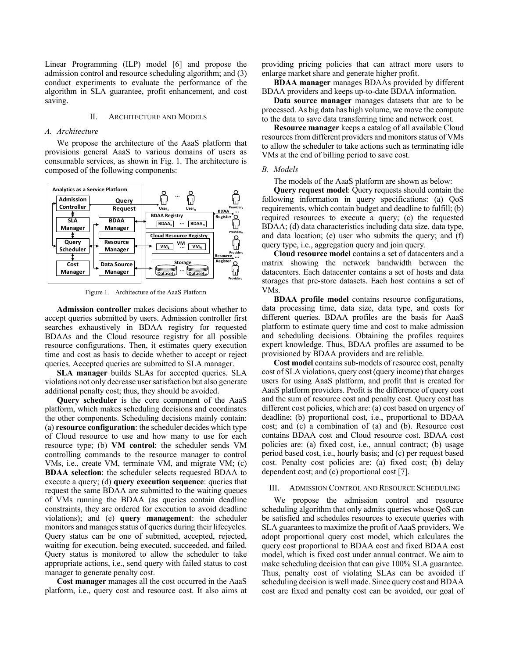Linear Programming (ILP) model [6] and propose the admission control and resource scheduling algorithm; and (3) conduct experiments to evaluate the performance of the algorithm in SLA guarantee, profit enhancement, and cost saving.

#### II. ARCHITECTURE AND MODELS

#### *A. Architecture*

We propose the architecture of the AaaS platform that provisions general AaaS to various domains of users as consumable services, as shown in Fig. 1. The architecture is composed of the following components:



Figure 1. Architecture of the AaaS Platform

**Admission controller** makes decisions about whether to accept queries submitted by users. Admission controller first searches exhaustively in BDAA registry for requested BDAAs and the Cloud resource registry for all possible resource configurations. Then, it estimates query execution time and cost as basis to decide whether to accept or reject queries. Accepted queries are submitted to SLA manager.

**SLA manager** builds SLAs for accepted queries. SLA violations not only decrease user satisfaction but also generate additional penalty cost; thus, they should be avoided.

**Query scheduler** is the core component of the AaaS platform, which makes scheduling decisions and coordinates the other components. Scheduling decisions mainly contain: (a) **resource configuration**: the scheduler decides which type of Cloud resource to use and how many to use for each resource type; (b) **VM control**: the scheduler sends VM controlling commands to the resource manager to control VMs, i.e., create VM, terminate VM, and migrate VM; (c) **BDAA selection**: the scheduler selects requested BDAA to execute a query; (d) **query execution sequence**: queries that request the same BDAA are submitted to the waiting queues of VMs running the BDAA (as queries contain deadline constraints, they are ordered for execution to avoid deadline violations); and (e) **query management**: the scheduler monitors and manages status of queries during their lifecycles. Query status can be one of submitted, accepted, rejected, waiting for execution, being executed, succeeded, and failed. Query status is monitored to allow the scheduler to take appropriate actions, i.e., send query with failed status to cost manager to generate penalty cost.

**Cost manager** manages all the cost occurred in the AaaS platform, i.e., query cost and resource cost. It also aims at providing pricing policies that can attract more users to enlarge market share and generate higher profit.

**BDAA manager** manages BDAAs provided by different BDAA providers and keeps up-to-date BDAA information.

**Data source manager** manages datasets that are to be processed. As big data has high volume, we move the compute to the data to save data transferring time and network cost.

**Resource manager** keeps a catalog of all available Cloud resources from different providers and monitors status of VMs to allow the scheduler to take actions such as terminating idle VMs at the end of billing period to save cost.

### *B. Models*

The models of the AaaS platform are shown as below:

**Query request model**: Query requests should contain the following information in query specifications: (a) QoS requirements, which contain budget and deadline to fulfill; (b) required resources to execute a query; (c) the requested BDAA; (d) data characteristics including data size, data type, and data location; (e) user who submits the query; and (f) query type, i.e., aggregation query and join query.

**Cloud resource model** contains a set of datacenters and a matrix showing the network bandwidth between the datacenters. Each datacenter contains a set of hosts and data storages that pre-store datasets. Each host contains a set of VMs.

**BDAA profile model** contains resource configurations, data processing time, data size, data type, and costs for different queries. BDAA profiles are the basis for AaaS platform to estimate query time and cost to make admission and scheduling decisions. Obtaining the profiles requires expert knowledge. Thus, BDAA profiles are assumed to be provisioned by BDAA providers and are reliable.

**Cost model** contains sub-models of resource cost, penalty cost of SLA violations, query cost (query income) that charges users for using AaaS platform, and profit that is created for AaaS platform providers. Profit is the difference of query cost and the sum of resource cost and penalty cost. Query cost has different cost policies, which are: (a) cost based on urgency of deadline; (b) proportional cost, i.e., proportional to BDAA cost; and (c) a combination of (a) and (b). Resource cost contains BDAA cost and Cloud resource cost. BDAA cost policies are: (a) fixed cost, i.e., annual contract; (b) usage period based cost, i.e., hourly basis; and (c) per request based cost. Penalty cost policies are: (a) fixed cost; (b) delay dependent cost; and (c) proportional cost [7].

## III. ADMISSION CONTROL AND RESOURCE SCHEDULING

We propose the admission control and resource scheduling algorithm that only admits queries whose QoS can be satisfied and schedules resources to execute queries with SLA guarantees to maximize the profit of AaaS providers. We adopt proportional query cost model, which calculates the query cost proportional to BDAA cost and fixed BDAA cost model, which is fixed cost under annual contract. We aim to make scheduling decision that can give 100% SLA guarantee. Thus, penalty cost of violating SLAs can be avoided if scheduling decision is well made. Since query cost and BDAA cost are fixed and penalty cost can be avoided, our goal of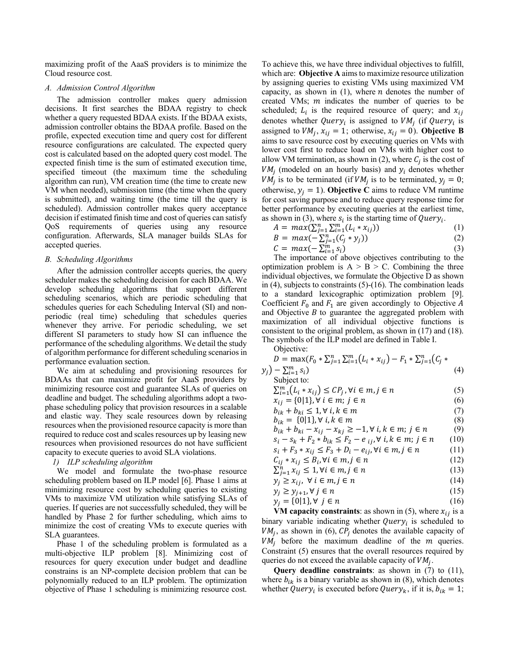maximizing profit of the AaaS providers is to minimize the Cloud resource cost.

#### *A. Admission Control Algorithm*

The admission controller makes query admission decisions. It first searches the BDAA registry to check whether a query requested BDAA exists. If the BDAA exists, admission controller obtains the BDAA profile. Based on the profile, expected execution time and query cost for different resource configurations are calculated. The expected query cost is calculated based on the adopted query cost model. The expected finish time is the sum of estimated execution time, specified timeout (the maximum time the scheduling algorithm can run), VM creation time (the time to create new VM when needed), submission time (the time when the query is submitted), and waiting time (the time till the query is scheduled). Admission controller makes query acceptance decision if estimated finish time and cost of queries can satisfy QoS requirements of queries using any resource configuration. Afterwards, SLA manager builds SLAs for accepted queries.

#### *B. Scheduling Algorithms*

After the admission controller accepts queries, the query scheduler makes the scheduling decision for each BDAA. We develop scheduling algorithms that support different scheduling scenarios, which are periodic scheduling that schedules queries for each Scheduling Interval (SI) and nonperiodic (real time) scheduling that schedules queries whenever they arrive. For periodic scheduling, we set different SI parameters to study how SI can influence the performance of the scheduling algorithms. We detail the study of algorithm performance for different scheduling scenarios in performance evaluation section.

We aim at scheduling and provisioning resources for BDAAs that can maximize profit for AaaS providers by minimizing resource cost and guarantee SLAs of queries on deadline and budget. The scheduling algorithms adopt a twophase scheduling policy that provision resources in a scalable and elastic way. They scale resources down by releasing resources when the provisioned resource capacity is more than required to reduce cost and scales resources up by leasing new resources when provisioned resources do not have sufficient capacity to execute queries to avoid SLA violations.

# *1) ILP scheduling algorithm*

We model and formulate the two-phase resource scheduling problem based on ILP model [6]. Phase 1 aims at minimizing resource cost by scheduling queries to existing VMs to maximize VM utilization while satisfying SLAs of queries. If queries are not successfully scheduled, they will be handled by Phase 2 for further scheduling, which aims to minimize the cost of creating VMs to execute queries with SLA guarantees.

Phase 1 of the scheduling problem is formulated as a multi-objective ILP problem [8]. Minimizing cost of resources for query execution under budget and deadline constrains is an NP-complete decision problem that can be polynomially reduced to an ILP problem. The optimization objective of Phase 1 scheduling is minimizing resource cost.

To achieve this, we have three individual objectives to fulfill, which are: **Objective A** aims to maximize resource utilization by assigning queries to existing VMs using maximized VM capacity, as shown in  $(1)$ , where *n* denotes the number of created VMs;  $m$  indicates the number of queries to be scheduled;  $L_i$  is the required resource of query; and  $x_{ij}$ denotes whether Query<sub>i</sub> is assigned to  $VM_j$  (if Query<sub>i</sub> is assigned to  $VM_j$ ,  $x_{ij} = 1$ ; otherwise,  $x_{ij} = 0$ ). **Objective B** aims to save resource cost by executing queries on VMs with lower cost first to reduce load on VMs with higher cost to allow VM termination, as shown in (2), where  $C_j$  is the cost of  $VM_i$  (modeled on an hourly basis) and  $y_i$  denotes whether  $VM_i$  is to be terminated (if  $VM_i$  is to be terminated,  $y_i = 0$ ; otherwise,  $y_j = 1$ ). **Objective C** aims to reduce VM runtime for cost saving purpose and to reduce query response time for better performance by executing queries at the earliest time, as shown in (3), where  $s_i$  is the starting time of Query<sub>i</sub>.

$$
A = max(\sum_{j=1}^{n} \sum_{i=1}^{m} (L_i * x_{ij}))
$$
 (1)

$$
B = max(-\sum_{j=1}^{n} (C_j * y_j))
$$
 (2)

$$
C = max(-\sum_{i=1}^{m} s_i)
$$
 (3)

The importance of above objectives contributing to the optimization problem is  $A > B > C$ . Combining the three individual objectives, we formulate the Objective D as shown in (4), subjects to constraints (5)-(16). The combination leads to a standard lexicographic optimization problem [9]. Coefficient  $F_0$  and  $F_1$  are given accordingly to Objective A and Objective  $B$  to guarantee the aggregated problem with maximization of all individual objective functions is consistent to the original problem, as shown in (17) and (18). The symbols of the ILP model are defined in Table I.

Objective:

$$
D = \max(F_0 * \sum_{j=1}^n \sum_{i=1}^m (L_i * x_{ij}) - F_1 * \sum_{j=1}^n (C_j * y_j) - \sum_{i=1}^m s_i)
$$
\n(4)

Subject to:

| $\sum_{i=1}^{m} (L_i * x_{ij}) \le C P_j$ , $\forall i \in m, j \in n$    | (5)    |
|---------------------------------------------------------------------------|--------|
| $x_{ij} = \{0 1\}, \forall i \in m; j \in n$                              | (6)    |
| $b_{ik} + b_{ki} \leq 1, \forall i, k \in m$                              | (7)    |
| $b_{ik} = \{0 1\}, \forall i, k \in m$                                    | (8)    |
| $b_{ik} + b_{ki} - x_{ij} - x_{kj} \ge -1, \forall i, k \in m; j \in n$   | (9)    |
| $s_i - s_k + F_2 * b_{ik} \leq F_2 - e_{ij}, \forall i, k \in m; j \in n$ | (10)   |
| $s_i + F_3 * x_{ij} \leq F_3 + D_i - e_{ij}$ , $\forall i \in m, j \in n$ | (11)   |
| $C_{ij} * x_{ij} \leq B_i, \forall i \in m, j \in n$                      | (12)   |
| $\sum_{i=1}^n x_{ij} \leq 1, \forall i \in m, j \in n$                    | (13)   |
| $v > v$ . $\forall i \in m$ $i \in n$                                     | 71 A Y |

$$
y_j \ge x_{ij}, \ \forall \ i \in m, j \in n \tag{14}
$$

$$
y_j \ge y_{j+1}, \forall j \in n
$$
  
\n
$$
y_j = \{0|1\}, \forall j \in n
$$
\n(15)

**VM capacity constraints**: as shown in (5), where 
$$
x_{ij}
$$
 is a binary variable indicating whether  $Query_i$  is scheduled to  $VM_j$ , as shown in (6),  $CP_j$  denotes the available capacity of  $VM_j$  before the maximum deadline of the *m* queries. Constraint (5) ensures that the overall resources required by queries do not exceed the available capacity of  $VM_j$ .

**Query deadline constraints**: as shown in (7) to (11), where  $b_{ik}$  is a binary variable as shown in (8), which denotes whether Query<sub>i</sub> is executed before Query<sub>k</sub>, if it is,  $b_{ik} = 1$ ;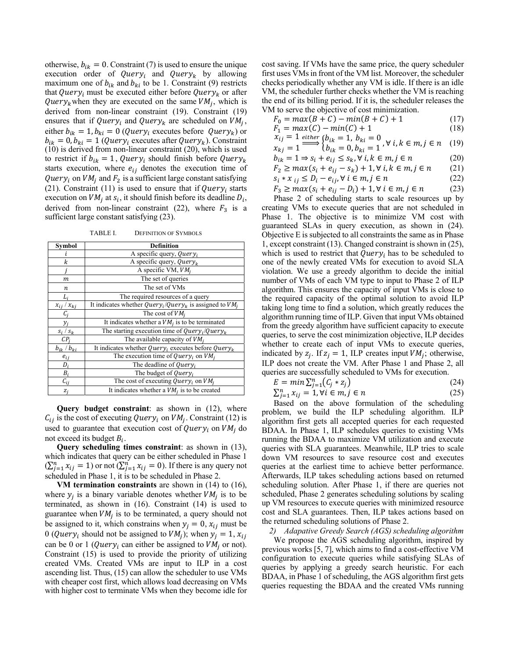otherwise,  $b_{ik} = 0$ . Constraint (7) is used to ensure the unique execution order of *Query<sub>i</sub>* and *Query<sub>k</sub>* by allowing maximum one of  $b_{ik}$  and  $b_{ki}$  to be 1. Constraint (9) restricts that Query<sub>i</sub> must be executed either before Query<sub>k</sub> or after Query<sub>k</sub> when they are executed on the same  $VM_i$ , which is derived from non-linear constraint (19). Constraint (19) ensures that if Query<sub>i</sub> and Query<sub>k</sub> are scheduled on  $VM<sub>i</sub>$ , either  $b_{ik} = 1$ ,  $b_{ki} = 0$  (*Query<sub>i</sub>* executes before *Query<sub>k</sub>*) or  $b_{ik} = 0$ ,  $b_{ki} = 1$  (*Query<sub>i</sub>* executes after *Query<sub>k</sub>*). Constraint (10) is derived from non-linear constraint (20), which is used to restrict if  $b_{ik} = 1$ , Query<sub>i</sub> should finish before Query<sub>k</sub> starts execution, where  $e_{ij}$  denotes the execution time of Query<sub>i</sub> on  $VM_i$  and  $F_2$  is a sufficient large constant satisfying (21). Constraint (11) is used to ensure that if Query, starts execution on  $VM_i$  at  $s_i$ , it should finish before its deadline  $D_i$ , derived from non-linear constraint (22), where  $F_3$  is a sufficient large constant satisfying (23).

| Symbol              | <b>Definition</b>                                                          |
|---------------------|----------------------------------------------------------------------------|
|                     | A specific query, Query <sub>i</sub>                                       |
| k                   | A specific query, $Query_k$                                                |
|                     | A specific VM, $VM_i$                                                      |
| m                   | The set of queries                                                         |
| n                   | The set of VMs                                                             |
|                     | The required resources of a query                                          |
| $x_{ij}$ / $x_{ki}$ | It indicates whether $Query_i/Query_k$ is assigned to $VM_i$               |
|                     | The cost of $VM_i$                                                         |
| $y_i$               | It indicates whether a $VM_i$ is to be terminated                          |
| $S_i / S_k$         | The starting execution time of Query <sub>i</sub> /Query <sub>k</sub>      |
| $CP_i$              | The available capacity of $VM_i$                                           |
| $b_{ik}$ / $b_{ki}$ | It indicates whether Query <sub>i</sub> executes before Query <sub>k</sub> |
| $e_{ii}$            | The execution time of Query <sub>i</sub> on $VM_i$                         |
| $D_i$               | The deadline of $Query_i$                                                  |
| $B_i$               | The budget of Query <sub>i</sub>                                           |
| $C_{ij}$            | The cost of executing Query <sub>i</sub> on $VM_i$                         |
| $z_j$               | It indicates whether a $VMj$ is to be created                              |

TABLE I. DEFINITION OF SYMBOLS

**Query budget constraint**: as shown in (12), where  $C_{ij}$  is the cost of executing Query<sub>i</sub> on  $VM_j$ . Constraint (12) is used to guarantee that execution cost of Query<sub>i</sub> on  $VM_i$  do not exceed its budget  $B_i$ .

**Query scheduling times constraint**: as shown in (13), which indicates that query can be either scheduled in Phase 1  $(\sum_{j=1}^n x_{ij} = 1)$  or not  $(\sum_{j=1}^n x_{ij} = 0)$ . If there is any query not scheduled in Phase 1, it is to be scheduled in Phase 2.

**VM termination constraints** are shown in (14) to (16), where  $y_i$  is a binary variable denotes whether  $VM_i$  is to be terminated, as shown in (16). Constraint (14) is used to guarantee when  $VM_i$  is to be terminated, a query should not be assigned to it, which constrains when  $y_j = 0$ ,  $x_{ij}$  must be 0 (*Query<sub>i</sub>* should not be assigned to  $VM_j$ ); when  $y_j = 1$ ,  $x_{ij}$ can be 0 or 1 (*Query<sub>i</sub>* can either be assigned to  $VM<sub>j</sub>$  or not). Constraint (15) is used to provide the priority of utilizing created VMs. Created VMs are input to ILP in a cost ascending list. Thus, (15) can allow the scheduler to use VMs with cheaper cost first, which allows load decreasing on VMs with higher cost to terminate VMs when they become idle for

cost saving. If VMs have the same price, the query scheduler first uses VMs in front of the VM list. Moreover, the scheduler checks periodically whether any VM is idle. If there is an idle VM, the scheduler further checks whether the VM is reaching the end of its billing period. If it is, the scheduler releases the VM to serve the objective of cost minimization.

$$
F_0 = \max(B + C) - \min(B + C) + 1
$$
 (17)  
\n
$$
F = \max(C) - \min(C) + 1
$$
 (18)

$$
F_1 = max(C) - min(C) + 1
$$
\n
$$
x_{ij} = 1 \frac{either}{b_{ik}} = 1, \, b_{ki} = 0 \quad \forall i, k \in m \, i \in n \quad (10)
$$

$$
x_{kj} = 1 \longrightarrow \begin{cases} b_{ik} = 1, & b_{kl} = 0 \\ b_{ik} = 0, & b_{ki} = 1 \end{cases}, \forall i, k \in m, j \in n \quad (19)
$$

$$
b_{ik} = 1 \Rightarrow s_i + e_{ij} \le s_k, \forall i, k \in m, j \in n
$$
 (20)

$$
F_2 \ge \max(s_i + e_{ij} - s_k) + 1, \forall \ i, k \in m, j \in n \tag{21}
$$

$$
s_i * x_{ij} \le D_i - e_{ij}, \forall i \in m, j \in n
$$
\n
$$
(22)
$$

$$
F_3 \ge \max(s_i + e_{ij} - D_i) + 1, \forall \ i \in m, j \in n \tag{23}
$$

Phase 2 of scheduling starts to scale resources up by creating VMs to execute queries that are not scheduled in Phase 1. The objective is to minimize VM cost with guaranteed SLAs in query execution, as shown in (24). Objective E is subjected to all constraints the same as in Phase 1, except constraint (13). Changed constraint is shown in (25), which is used to restrict that  $Query_i$  has to be scheduled to one of the newly created VMs for execution to avoid SLA violation. We use a greedy algorithm to decide the initial number of VMs of each VM type to input to Phase 2 of ILP algorithm. This ensures the capacity of input VMs is close to the required capacity of the optimal solution to avoid ILP taking long time to find a solution, which greatly reduces the algorithm running time of ILP. Given that input VMs obtained from the greedy algorithm have sufficient capacity to execute queries, to serve the cost minimization objective, ILP decides whether to create each of input VMs to execute queries, indicated by  $z_i$ . If  $z_i = 1$ , ILP creates input  $VM_i$ ; otherwise, ILP does not create the VM. After Phase 1 and Phase 2, all queries are successfully scheduled to VMs for execution.

$$
E = \min \sum_{j=1}^{n} (C_j * z_j)
$$
\n
$$
\sum_{i=1}^{n} (C_j + z_j)
$$
\n
$$
(24)
$$
\n
$$
(25)
$$

$$
\sum_{j=1}^{n} x_{ij} = 1, \forall i \in m, j \in n \tag{25}
$$

Based on the above formulation of the scheduling problem, we build the ILP scheduling algorithm. ILP algorithm first gets all accepted queries for each requested BDAA. In Phase 1, ILP schedules queries to existing VMs running the BDAA to maximize VM utilization and execute queries with SLA guarantees. Meanwhile, ILP tries to scale down VM resources to save resource cost and executes queries at the earliest time to achieve better performance. Afterwards, ILP takes scheduling actions based on returned scheduling solution. After Phase 1, if there are queries not scheduled, Phase 2 generates scheduling solutions by scaling up VM resources to execute queries with minimized resource cost and SLA guarantees. Then, ILP takes actions based on the returned scheduling solutions of Phase 2.

*2) Adapative Greedy Search (AGS) scheduling algorithm*  We propose the AGS scheduling algorithm, inspired by previous works [5, 7], which aims to find a cost-effective VM configuration to execute queries while satisfying SLAs of queries by applying a greedy search heuristic. For each BDAA, in Phase 1 of scheduling, the AGS algorithm first gets queries requesting the BDAA and the created VMs running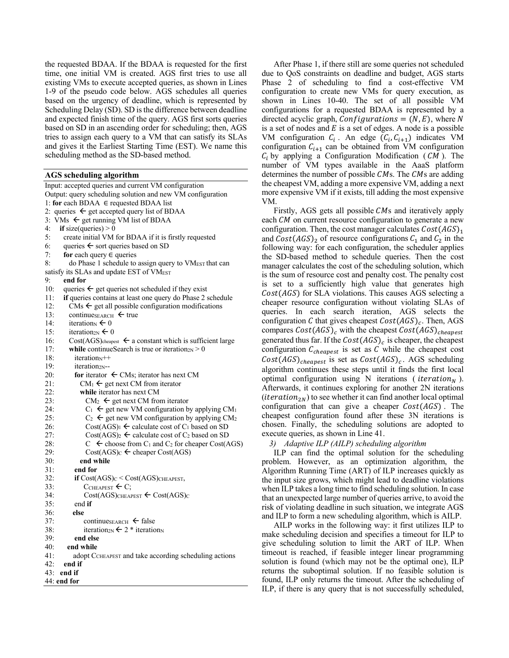the requested BDAA. If the BDAA is requested for the first time, one initial VM is created. AGS first tries to use all existing VMs to execute accepted queries, as shown in Lines 1-9 of the pseudo code below. AGS schedules all queries based on the urgency of deadline, which is represented by Scheduling Delay (SD). SD is the difference between deadline and expected finish time of the query. AGS first sorts queries based on SD in an ascending order for scheduling; then, AGS tries to assign each query to a VM that can satisfy its SLAs and gives it the Earliest Starting Time (EST). We name this scheduling method as the SD-based method.

# **AGS scheduling algorithm**

Input: accepted queries and current VM configuration Output: query scheduling solution and new VM configuration 1: **for** each BDAA ∈ requested BDAA list 2: queries  $\leftarrow$  get accepted query list of BDAA 3:  $\overline{V}$ Ms  $\leftarrow$  get running VM list of BDAA 4: **if** size(queries)  $> 0$ 5: create initial VM for BDAA if it is firstly requested 6: queries  $\leftarrow$  sort queries based on SD 7: **for** each query ∈ queries 8: do Phase 1 schedule to assign query to VM<sub>EST</sub> that can satisfy its SLAs and update EST of VM<sub>EST</sub> 9: **end for** 10: queries  $\leftarrow$  get queries not scheduled if they exist 11: **if** queries contains at least one query do Phase 2 schedule 12: CMs  $\leftarrow$  get all possible configuration modifications 13: continue<sub>SEARCH</sub>  $\leftarrow$  true 14: iteration<sub>N</sub>  $\leftarrow$  0 15: iteration<sub>2N</sub>  $\leftarrow$  0 16: Cost(AGS) $\text{cheapest} \leftarrow \text{a constant which is sufficient large}$ 17: **while** continueSearch is true or iteration<sub>2N</sub>  $> 0$ 18: iteration $N^{++}$ 19: iteration<sub>2N</sub>--20: **for** iterator  $\leftarrow$  CMs; iterator has next CM 21: CM<sub>1</sub>  $\leftarrow$  get next CM from iterator 22: **while** iterator has next CM 23: CM<sub>2</sub>  $\leftarrow$  get next CM from iterator 24:  $C_1 \leftarrow$  get new VM configuration by applying CM<sub>1</sub> 25:  $C_2 \leftarrow$  get new VM configuration by applying CM<sub>2</sub> 26: Cost(AGS)<sub>1</sub>  $\leftarrow$  calculate cost of C<sub>1</sub> based on SD 27: Cost(AGS)<sub>2</sub>  $\leftarrow$  calculate cost of C<sub>2</sub> based on SD 28:  $C \leftarrow$  choose from  $C_1$  and  $C_2$  for cheaper Cost(AGS) 29:  $Cost(AGS)_C \leftarrow$  cheaper Cost(AGS) 30: **end while** 31: **end for**  $32$ : **if** Cost(AGS) $<$  Cost(AGS) $<$ HEAPEST, 33:  $C_{\text{CHEAPEST}} \leftarrow C$ ; 34:  $Cost(AGS)_{CHEAPEST} \leftarrow Cost(AGS)_{C}$ 35: end **if** 36: **else** 37: continues  $\epsilon$  false 38: iteration<sub>2N</sub>  $\leftarrow$  2 \* iteration<sub>N</sub> 39: **end else**  40: **end while** 41: adopt CCHEAPEST and take according scheduling actions 42: **end if**  43: **end if** 44: **end for**

After Phase 1, if there still are some queries not scheduled due to QoS constraints on deadline and budget, AGS starts Phase 2 of scheduling to find a cost-effective VM configuration to create new VMs for query execution, as shown in Lines 10-40. The set of all possible VM configurations for a requested BDAA is represented by a directed acyclic graph, *Configurations* =  $(N, E)$ , where N is a set of nodes and  $E$  is a set of edges. A node is a possible VM configuration  $C_i$ . An edge  $(C_i, C_{i+1})$  indicates VM configuration  $C_{i+1}$  can be obtained from VM configuration  $C_i$  by applying a Configuration Modification (*CM*). The number of VM types available in the AaaS platform determines the number of possible  $CMS$ . The  $CMS$  are adding the cheapest VM, adding a more expensive VM, adding a next more expensive VM if it exists, till adding the most expensive VM.

Firstly, AGS gets all possible CMs and iteratively apply each CM on current resource configuration to generate a new configuration. Then, the cost manager calculates  $Cost(AGS)<sub>1</sub>$ and  $Cost(AGS)$ <sub>2</sub> of resource configurations  $C_1$  and  $C_2$  in the following way: for each configuration, the scheduler applies the SD-based method to schedule queries. Then the cost manager calculates the cost of the scheduling solution, which is the sum of resource cost and penalty cost. The penalty cost is set to a sufficiently high value that generates high  $Cost(AGS)$  for SLA violations. This causes AGS selecting a cheaper resource configuration without violating SLAs of queries. In each search iteration, AGS selects the configuration C that gives cheapest  $Cost(AGS)_c$ . Then, AGS compares  $Cost(AGS)_c$  with the cheapest  $Cost(AGS)_{cheapest}$ generated thus far. If the  $Cost(AGS)_c$  is cheaper, the cheapest configuration  $C_{cheapest}$  is set as C while the cheapest cost  $Cost(AGS)_{cheapest}$  is set as  $Cost(AGS)_c$ . AGS scheduling algorithm continues these steps until it finds the first local optimal configuration using N iterations (  $iteration<sub>N</sub>$ ). Afterwards, it continues exploring for another 2N iterations (*iteration*<sub>2N</sub>) to see whether it can find another local optimal configuration that can give a cheaper  $Cost(AGS)$ . The cheapest configuration found after these 3N iterations is chosen. Finally, the scheduling solutions are adopted to execute queries, as shown in Line 41.

#### *3) Adaptive ILP (AILP) scheduling algorithm*

ILP can find the optimal solution for the scheduling problem. However, as an optimization algorithm, the Algorithm Running Time (ART) of ILP increases quickly as the input size grows, which might lead to deadline violations when ILP takes a long time to find scheduling solution. In case that an unexpected large number of queries arrive, to avoid the risk of violating deadline in such situation, we integrate AGS and ILP to form a new scheduling algorithm, which is AILP.

AILP works in the following way: it first utilizes ILP to make scheduling decision and specifies a timeout for ILP to give scheduling solution to limit the ART of ILP. When timeout is reached, if feasible integer linear programming solution is found (which may not be the optimal one), ILP returns the suboptimal solution. If no feasible solution is found, ILP only returns the timeout. After the scheduling of ILP, if there is any query that is not successfully scheduled,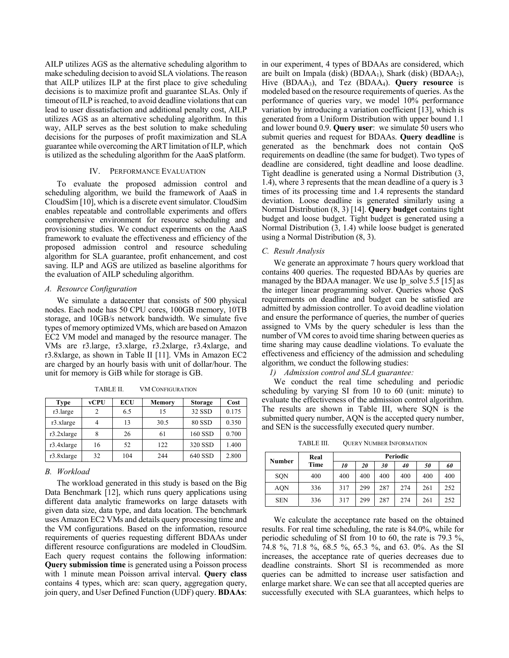AILP utilizes AGS as the alternative scheduling algorithm to make scheduling decision to avoid SLA violations. The reason that AILP utilizes ILP at the first place to give scheduling decisions is to maximize profit and guarantee SLAs. Only if timeout of ILP is reached, to avoid deadline violations that can lead to user dissatisfaction and additional penalty cost, AILP utilizes AGS as an alternative scheduling algorithm. In this way, AILP serves as the best solution to make scheduling decisions for the purposes of profit maximization and SLA guarantee while overcoming the ART limitation of ILP, which is utilized as the scheduling algorithm for the AaaS platform.

#### IV. PERFORMANCE EVALUATION

To evaluate the proposed admission control and scheduling algorithm, we build the framework of AaaS in CloudSim [10], which is a discrete event simulator. CloudSim enables repeatable and controllable experiments and offers comprehensive environment for resource scheduling and provisioning studies. We conduct experiments on the AaaS framework to evaluate the effectiveness and efficiency of the proposed admission control and resource scheduling algorithm for SLA guarantee, profit enhancement, and cost saving. ILP and AGS are utilized as baseline algorithms for the evaluation of AILP scheduling algorithm.

#### *A. Resource Configuration*

We simulate a datacenter that consists of 500 physical nodes. Each node has 50 CPU cores, 100GB memory, 10TB storage, and 10GB/s network bandwidth. We simulate five types of memory optimized VMs, which are based on Amazon EC2 VM model and managed by the resource manager. The VMs are r3.large, r3.xlarge, r3.2xlarge, r3.4xlarge, and r3.8xlarge, as shown in Table II [11]. VMs in Amazon EC2 are charged by an hourly basis with unit of dollar/hour. The unit for memory is GiB while for storage is GB.

| Type          | vCPU | <b>ECU</b> | <b>Memory</b> | <b>Storage</b> | Cost  |
|---------------|------|------------|---------------|----------------|-------|
| r3.large      | 2    | 6.5        | 15            | 32 SSD         | 0.175 |
| r3.xlarge     |      | 13         | 30.5          | 80 SSD         | 0.350 |
| $r3.2x$ large |      | 26         | 61            | 160 SSD        | 0.700 |
| $r3.4x$ large | 16   | 52         | 122           | 320 SSD        | 1.400 |
| r3.8xlarge    | 32   | 104        | 244           | 640 SSD        | 2.800 |

TABLE II. VM CONFIGURATION

### *B. Workload*

The workload generated in this study is based on the Big Data Benchmark [12], which runs query applications using different data analytic frameworks on large datasets with given data size, data type, and data location. The benchmark uses Amazon EC2 VMs and details query processing time and the VM configurations. Based on the information, resource requirements of queries requesting different BDAAs under different resource configurations are modeled in CloudSim. Each query request contains the following information: **Query submission time** is generated using a Poisson process with 1 minute mean Poisson arrival interval. **Query class** contains 4 types, which are: scan query, aggregation query, join query, and User Defined Function (UDF) query. **BDAAs**:

in our experiment, 4 types of BDAAs are considered, which are built on Impala (disk) (BDAA<sub>1</sub>), Shark (disk) (BDAA<sub>2</sub>), Hive (BDAA3), and Tez (BDAA4). **Query resource** is modeled based on the resource requirements of queries. As the performance of queries vary, we model 10% performance variation by introducing a variation coefficient [13], which is generated from a Uniform Distribution with upper bound 1.1 and lower bound 0.9. **Query user**: we simulate 50 users who submit queries and request for BDAAs. **Query deadline** is generated as the benchmark does not contain QoS requirements on deadline (the same for budget). Two types of deadline are considered, tight deadline and loose deadline. Tight deadline is generated using a Normal Distribution (3, 1.4), where 3 represents that the mean deadline of a query is 3 times of its processing time and 1.4 represents the standard deviation. Loose deadline is generated similarly using a Normal Distribution (8, 3) [14]. **Query budget** contains tight budget and loose budget. Tight budget is generated using a Normal Distribution (3, 1.4) while loose budget is generated using a Normal Distribution (8, 3).

#### *C. Result Analysis*

We generate an approximate 7 hours query workload that contains 400 queries. The requested BDAAs by queries are managed by the BDAA manager. We use lp\_solve 5.5 [15] as the integer linear programming solver. Queries whose QoS requirements on deadline and budget can be satisfied are admitted by admission controller. To avoid deadline violation and ensure the performance of queries, the number of queries assigned to VMs by the query scheduler is less than the number of VM cores to avoid time sharing between queries as time sharing may cause deadline violations. To evaluate the effectiveness and efficiency of the admission and scheduling algorithm, we conduct the following studies:

*1) Admission control and SLA guarantee:* 

We conduct the real time scheduling and periodic scheduling by varying SI from 10 to 60 (unit: minute) to evaluate the effectiveness of the admission control algorithm. The results are shown in Table III, where SQN is the submitted query number, AQN is the accepted query number, and SEN is the successfully executed query number.

TABLE III. QUERY NUMBER INFORMATION

| Number     | Real | Periodic |           |     |     |     |     |
|------------|------|----------|-----------|-----|-----|-----|-----|
|            | Time | 10       | <i>20</i> | 30  | 40  | 50  | 60  |
| SQN        | 400  | 400      | 400       | 400 | 400 | 400 | 400 |
| <b>AQN</b> | 336  | 317      | 299       | 287 | 274 | 261 | 252 |
| <b>SEN</b> | 336  | 317      | 299       | 287 | 274 | 261 | 252 |

We calculate the acceptance rate based on the obtained results. For real time scheduling, the rate is 84.0%, while for periodic scheduling of SI from 10 to 60, the rate is 79.3 %, 74.8 %, 71.8 %, 68.5 %, 65.3 %, and 63. 0%. As the SI increases, the acceptance rate of queries decreases due to deadline constraints. Short SI is recommended as more queries can be admitted to increase user satisfaction and enlarge market share. We can see that all accepted queries are successfully executed with SLA guarantees, which helps to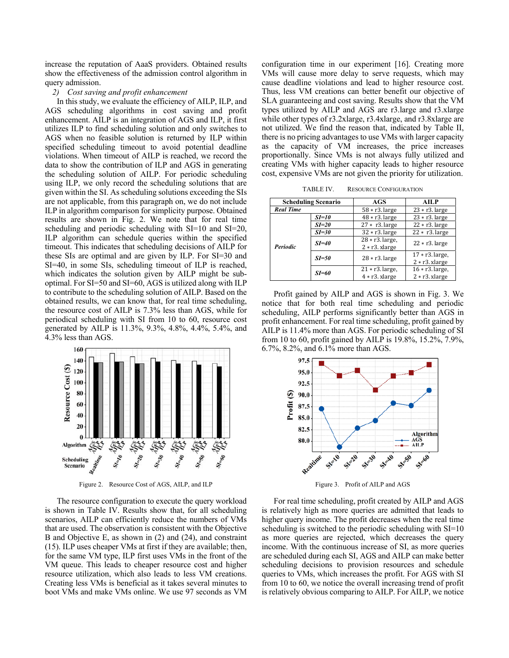increase the reputation of AaaS providers. Obtained results show the effectiveness of the admission control algorithm in query admission.

#### *2) Cost saving and profit enhancement*

In this study, we evaluate the efficiency of AILP, ILP, and AGS scheduling algorithms in cost saving and profit enhancement. AILP is an integration of AGS and ILP, it first utilizes ILP to find scheduling solution and only switches to AGS when no feasible solution is returned by ILP within specified scheduling timeout to avoid potential deadline violations. When timeout of AILP is reached, we record the data to show the contribution of ILP and AGS in generating the scheduling solution of AILP. For periodic scheduling using ILP, we only record the scheduling solutions that are given within the SI. As scheduling solutions exceeding the SIs are not applicable, from this paragraph on, we do not include ILP in algorithm comparison for simplicity purpose. Obtained results are shown in Fig. 2. We note that for real time scheduling and periodic scheduling with SI=10 and SI=20, ILP algorithm can schedule queries within the specified timeout. This indicates that scheduling decisions of AILP for these SIs are optimal and are given by ILP. For SI=30 and SI=40, in some SIs, scheduling timeout of ILP is reached, which indicates the solution given by AILP might be suboptimal. For SI=50 and SI=60, AGS is utilized along with ILP to contribute to the scheduling solution of AILP. Based on the obtained results, we can know that, for real time scheduling, the resource cost of AILP is 7.3% less than AGS, while for periodical scheduling with SI from 10 to 60, resource cost generated by AILP is 11.3%, 9.3%, 4.8%, 4.4%, 5.4%, and 4.3% less than AGS.



Figure 2. Resource Cost of AGS, AILP, and ILP

The resource configuration to execute the query workload is shown in Table IV. Results show that, for all scheduling scenarios, AILP can efficiently reduce the numbers of VMs that are used. The observation is consistent with the Objective B and Objective E, as shown in (2) and (24), and constraint (15). ILP uses cheaper VMs at first if they are available; then, for the same VM type, ILP first uses VMs in the front of the VM queue. This leads to cheaper resource cost and higher resource utilization, which also leads to less VM creations. Creating less VMs is beneficial as it takes several minutes to boot VMs and make VMs online. We use 97 seconds as VM configuration time in our experiment [16]. Creating more VMs will cause more delay to serve requests, which may cause deadline violations and lead to higher resource cost. Thus, less VM creations can better benefit our objective of SLA guaranteeing and cost saving. Results show that the VM types utilized by AILP and AGS are r3.large and r3.xlarge while other types of r3.2xlarge, r3.4xlarge, and r3.8xlarge are not utilized. We find the reason that, indicated by Table II, there is no pricing advantages to use VMs with larger capacity as the capacity of VM increases, the price increases proportionally. Since VMs is not always fully utilized and creating VMs with higher capacity leads to higher resource cost, expensive VMs are not given the priority for utilization.

TABLE IV. RESOURCE CONFIGURATION

| <b>Scheduling Scenario</b> |           | AGS                | AILP               |  |
|----------------------------|-----------|--------------------|--------------------|--|
| <b>Real Time</b>           |           | $58 * r3$ . large  | $23 * r3$ . large  |  |
| <b>Periodic</b>            | $SI=10$   | $48 * r3$ . large  | $23 * r3$ . large  |  |
|                            | $SI=20$   | $27 * r3$ . large  | $22 * r3$ . large  |  |
|                            | $SI = 30$ | $32 * r3$ . large  | $22 * r3$ . large  |  |
|                            | $SI = 40$ | $28 * r3$ . large, | $22 * r3$ . large  |  |
|                            |           | $2 * r3$ . xlarge  |                    |  |
|                            | $SI = 50$ | $28 * r3$ . large  | $17 * r3$ . large, |  |
|                            |           |                    | $2 * r3$ . xlarge  |  |
|                            | $SI = 60$ | $21 * r3$ . large, | $16 * r3$ . large, |  |
|                            |           | $4 * r3$ . xlarge  | $2 * r3$ . xlarge  |  |

Profit gained by AILP and AGS is shown in Fig. 3. We notice that for both real time scheduling and periodic scheduling, AILP performs significantly better than AGS in profit enhancement. For real time scheduling, profit gained by AILP is 11.4% more than AGS. For periodic scheduling of SI from 10 to 60, profit gained by AILP is 19.8%, 15.2%, 7.9%, 6.7%, 8.2%, and 6.1% more than AGS.



Figure 3. Profit of AILP and AGS

For real time scheduling, profit created by AILP and AGS is relatively high as more queries are admitted that leads to higher query income. The profit decreases when the real time scheduling is switched to the periodic scheduling with  $SI=10$ as more queries are rejected, which decreases the query income. With the continuous increase of SI, as more queries are scheduled during each SI, AGS and AILP can make better scheduling decisions to provision resources and schedule queries to VMs, which increases the profit. For AGS with SI from 10 to 60, we notice the overall increasing trend of profit is relatively obvious comparing to AILP. For AILP, we notice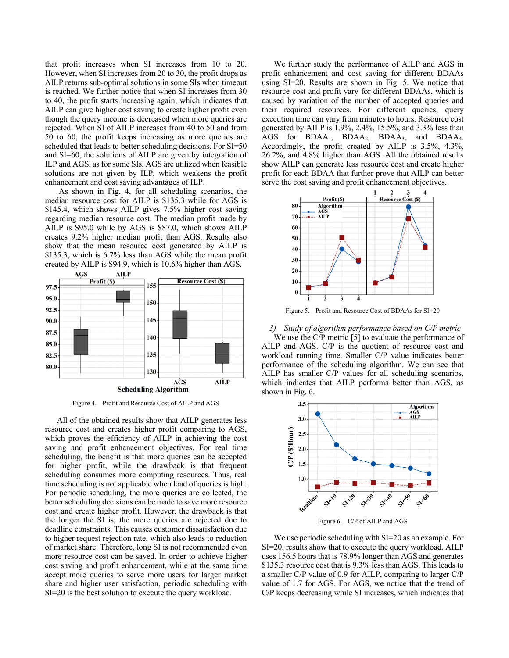that profit increases when SI increases from 10 to 20. However, when SI increases from 20 to 30, the profit drops as AILP returns sub-optimal solutions in some SIs when timeout is reached. We further notice that when SI increases from 30 to 40, the profit starts increasing again, which indicates that AILP can give higher cost saving to create higher profit even though the query income is decreased when more queries are rejected. When SI of AILP increases from 40 to 50 and from 50 to 60, the profit keeps increasing as more queries are scheduled that leads to better scheduling decisions. For SI=50 and SI=60, the solutions of AILP are given by integration of ILP and AGS, as for some SIs, AGS are utilized when feasible solutions are not given by ILP, which weakens the profit enhancement and cost saving advantages of ILP.

 As shown in Fig. 4, for all scheduling scenarios, the median resource cost for AILP is \$135.3 while for AGS is \$145.4, which shows AILP gives 7.5% higher cost saving regarding median resource cost. The median profit made by AILP is \$95.0 while by AGS is \$87.0, which shows AILP creates 9.2% higher median profit than AGS. Results also show that the mean resource cost generated by AILP is \$135.3, which is 6.7% less than AGS while the mean profit created by AILP is \$94.9, which is 10.6% higher than AGS.



Figure 4. Profit and Resource Cost of AILP and AGS

All of the obtained results show that AILP generates less resource cost and creates higher profit comparing to AGS, which proves the efficiency of AILP in achieving the cost saving and profit enhancement objectives. For real time scheduling, the benefit is that more queries can be accepted for higher profit, while the drawback is that frequent scheduling consumes more computing resources. Thus, real time scheduling is not applicable when load of queries is high. For periodic scheduling, the more queries are collected, the better scheduling decisions can be made to save more resource cost and create higher profit. However, the drawback is that the longer the SI is, the more queries are rejected due to deadline constraints. This causes customer dissatisfaction due to higher request rejection rate, which also leads to reduction of market share. Therefore, long SI is not recommended even more resource cost can be saved. In order to achieve higher cost saving and profit enhancement, while at the same time accept more queries to serve more users for larger market share and higher user satisfaction, periodic scheduling with SI=20 is the best solution to execute the query workload.

We further study the performance of AILP and AGS in profit enhancement and cost saving for different BDAAs using SI=20. Results are shown in Fig. 5. We notice that resource cost and profit vary for different BDAAs, which is caused by variation of the number of accepted queries and their required resources. For different queries, query execution time can vary from minutes to hours. Resource cost generated by AILP is 1.9%, 2.4%, 15.5%, and 3.3% less than AGS for BDAA1, BDAA2, BDAA3, and BDAA4. Accordingly, the profit created by AILP is 3.5%, 4.3%, 26.2%, and 4.8% higher than AGS. All the obtained results show AILP can generate less resource cost and create higher profit for each BDAA that further prove that AILP can better serve the cost saving and profit enhancement objectives.



Figure 5. Profit and Resource Cost of BDAAs for SI=20

*3) Study of algorithm performance based on C/P metric* 

We use the C/P metric [5] to evaluate the performance of AILP and AGS. C/P is the quotient of resource cost and workload running time. Smaller C/P value indicates better performance of the scheduling algorithm. We can see that AILP has smaller C/P values for all scheduling scenarios, which indicates that AILP performs better than AGS, as shown in Fig. 6.



Figure 6. C/P of AILP and AGS

We use periodic scheduling with SI=20 as an example. For SI=20, results show that to execute the query workload, AILP uses 156.5 hours that is 78.9% longer than AGS and generates \$135.3 resource cost that is 9.3% less than AGS. This leads to a smaller C/P value of 0.9 for AILP, comparing to larger C/P value of 1.7 for AGS. For AGS, we notice that the trend of C/P keeps decreasing while SI increases, which indicates that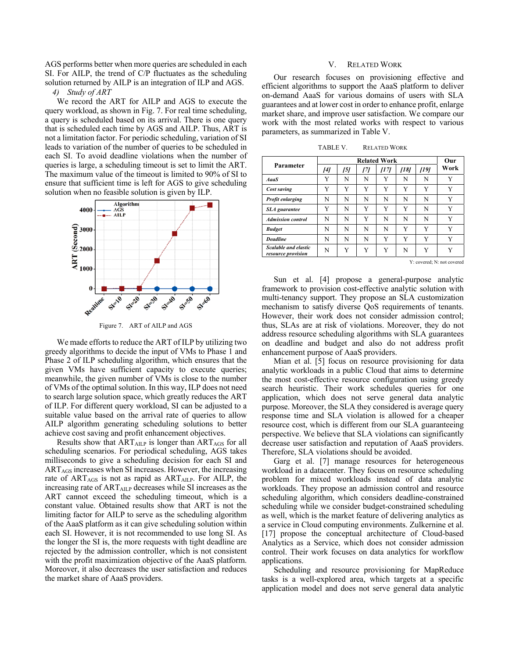AGS performs better when more queries are scheduled in each SI. For AILP, the trend of C/P fluctuates as the scheduling solution returned by AILP is an integration of ILP and AGS.

*4) Study of ART* 

We record the ART for AILP and AGS to execute the query workload, as shown in Fig. 7. For real time scheduling, a query is scheduled based on its arrival. There is one query that is scheduled each time by AGS and AILP. Thus, ART is not a limitation factor. For periodic scheduling, variation of SI leads to variation of the number of queries to be scheduled in each SI. To avoid deadline violations when the number of queries is large, a scheduling timeout is set to limit the ART. The maximum value of the timeout is limited to 90% of SI to ensure that sufficient time is left for AGS to give scheduling solution when no feasible solution is given by ILP.



Figure 7. ART of AILP and AGS

We made efforts to reduce the ART of ILP by utilizing two greedy algorithms to decide the input of VMs to Phase 1 and Phase 2 of ILP scheduling algorithm, which ensures that the given VMs have sufficient capacity to execute queries; meanwhile, the given number of VMs is close to the number of VMs of the optimal solution. In this way, ILP does not need to search large solution space, which greatly reduces the ART of ILP. For different query workload, SI can be adjusted to a suitable value based on the arrival rate of queries to allow AILP algorithm generating scheduling solutions to better achieve cost saving and profit enhancement objectives.

Results show that  $ART_{AILP}$  is longer than  $ART_{AGS}$  for all scheduling scenarios. For periodical scheduling, AGS takes milliseconds to give a scheduling decision for each SI and ARTAGS increases when SI increases. However, the increasing rate of ART<sub>AGS</sub> is not as rapid as ART<sub>AILP</sub>. For AILP, the increasing rate of ARTAILP decreases while SI increases as the ART cannot exceed the scheduling timeout, which is a constant value. Obtained results show that ART is not the limiting factor for AILP to serve as the scheduling algorithm of the AaaS platform as it can give scheduling solution within each SI. However, it is not recommended to use long SI. As the longer the SI is, the more requests with tight deadline are rejected by the admission controller, which is not consistent with the profit maximization objective of the AaaS platform. Moreover, it also decreases the user satisfaction and reduces the market share of AaaS providers.

#### V. RELATED WORK

Our research focuses on provisioning effective and efficient algorithms to support the AaaS platform to deliver on-demand AaaS for various domains of users with SLA guarantees and at lower cost in order to enhance profit, enlarge market share, and improve user satisfaction. We compare our work with the most related works with respect to various parameters, as summarized in Table V.

TABLE V. RELATED WORK

| Parameter                                  | <b>Related Work</b> |     |     |      |      |      | Our  |
|--------------------------------------------|---------------------|-----|-----|------|------|------|------|
|                                            | [4]                 | 151 | 171 | /171 | [18] | [19] | Work |
| <b>AaaS</b>                                | Y                   | N   | N   | Y    | N    | N    | Y    |
| Cost saving                                | Y                   | Y   | Y   | Y    | Y    | Y    | Y    |
| Profit enlarging                           | N                   | N   | N   | N    | N    | N    | Y    |
| <b>SLA</b> guarantee                       | Y                   | N   | Y   | Y    | Y    | N    | Y    |
| <b>Admission</b> control                   | N                   | N   | Y   | N    | N    | N    | Y    |
| <b>Budget</b>                              | N                   | N   | N   | N    | Y    | Y    | Y    |
| <b>Deadline</b>                            | N                   | N   | N   | Y    | Y    | Y    | Y    |
| Scalable and elastic<br>resource provision | N                   | Y   | Y   | Y    | N    | Y    | Y    |

Y: covered; N: not covered

Sun et al. [4] propose a general-purpose analytic framework to provision cost-effective analytic solution with multi-tenancy support. They propose an SLA customization mechanism to satisfy diverse QoS requirements of tenants. However, their work does not consider admission control; thus, SLAs are at risk of violations. Moreover, they do not address resource scheduling algorithms with SLA guarantees on deadline and budget and also do not address profit enhancement purpose of AaaS providers.

Mian et al. [5] focus on resource provisioning for data analytic workloads in a public Cloud that aims to determine the most cost-effective resource configuration using greedy search heuristic. Their work schedules queries for one application, which does not serve general data analytic purpose. Moreover, the SLA they considered is average query response time and SLA violation is allowed for a cheaper resource cost, which is different from our SLA guaranteeing perspective. We believe that SLA violations can significantly decrease user satisfaction and reputation of AaaS providers. Therefore, SLA violations should be avoided.

Garg et al. [7] manage resources for heterogeneous workload in a datacenter. They focus on resource scheduling problem for mixed workloads instead of data analytic workloads. They propose an admission control and resource scheduling algorithm, which considers deadline-constrained scheduling while we consider budget-constrained scheduling as well, which is the market feature of delivering analytics as a service in Cloud computing environments. Zulkernine et al. [17] propose the conceptual architecture of Cloud-based Analytics as a Service, which does not consider admission control. Their work focuses on data analytics for workflow applications.

Scheduling and resource provisioning for MapReduce tasks is a well-explored area, which targets at a specific application model and does not serve general data analytic